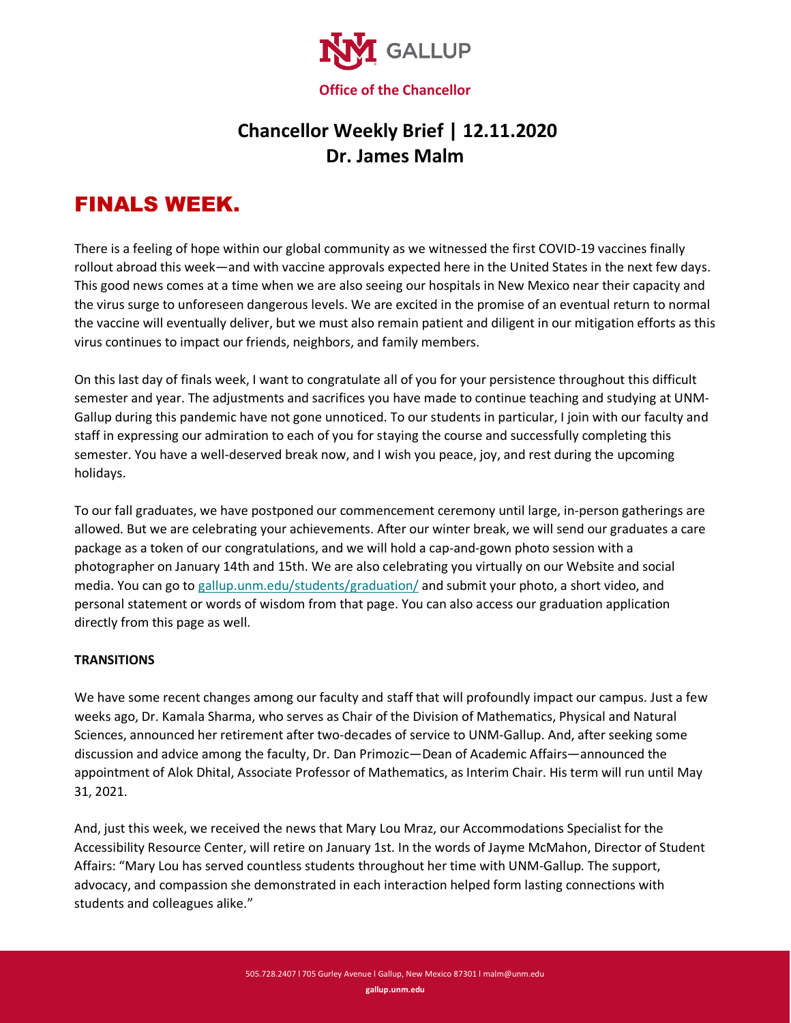

## **Chancellor Weekly Brief | 12.11.2020 Dr. James Malm**

# FINALS WEEK.

There is a feeling of hope within our global community as we witnessed the first COVID-19 vaccines finally rollout abroad this week—and with vaccine approvals expected here in the United States in the next few days. This good news comes at a time when we are also seeing our hospitals in New Mexico near their capacity and the virus surge to unforeseen dangerous levels. We are excited in the promise of an eventual return to normal the vaccine will eventually deliver, but we must also remain patient and diligent in our mitigation efforts as this virus continues to impact our friends, neighbors, and family members.

On this last day of finals week, I want to congratulate all of you for your persistence throughout this difficult semester and year. The adjustments and sacrifices you have made to continue teaching and studying at UNM-Gallup during this pandemic have not gone unnoticed. To our students in particular, I join with our faculty and staff in expressing our admiration to each of you for staying the course and successfully completing this semester. You have a well-deserved break now, and I wish you peace, joy, and rest during the upcoming holidays.

To our fall graduates, we have postponed our commencement ceremony until large, in-person gatherings are allowed. But we are celebrating your achievements. After our winter break, we will send our graduates a care package as a token of our congratulations, and we will hold a cap-and-gown photo session with a photographer on January 14th and 15th. We are also celebrating you virtually on our Website and social media. You can go to [gallup.unm.edu/students/graduation/](https://www.gallup.unm.edu/students/graduation/) and submit your photo, a short video, and personal statement or words of wisdom from that page. You can also access our graduation application directly from this page as well.

### **TRANSITIONS**

We have some recent changes among our faculty and staff that will profoundly impact our campus. Just a few weeks ago, Dr. Kamala Sharma, who serves as Chair of the Division of Mathematics, Physical and Natural Sciences, announced her retirement after two-decades of service to UNM-Gallup. And, after seeking some discussion and advice among the faculty, Dr. Dan Primozic—Dean of Academic Affairs—announced the appointment of Alok Dhital, Associate Professor of Mathematics, as Interim Chair. His term will run until May 31, 2021.

And, just this week, we received the news that Mary Lou Mraz, our Accommodations Specialist for the Accessibility Resource Center, will retire on January 1st. In the words of Jayme McMahon, Director of Student Affairs: "Mary Lou has served countless students throughout her time with UNM-Gallup. The support, advocacy, and compassion she demonstrated in each interaction helped form lasting connections with students and colleagues alike."